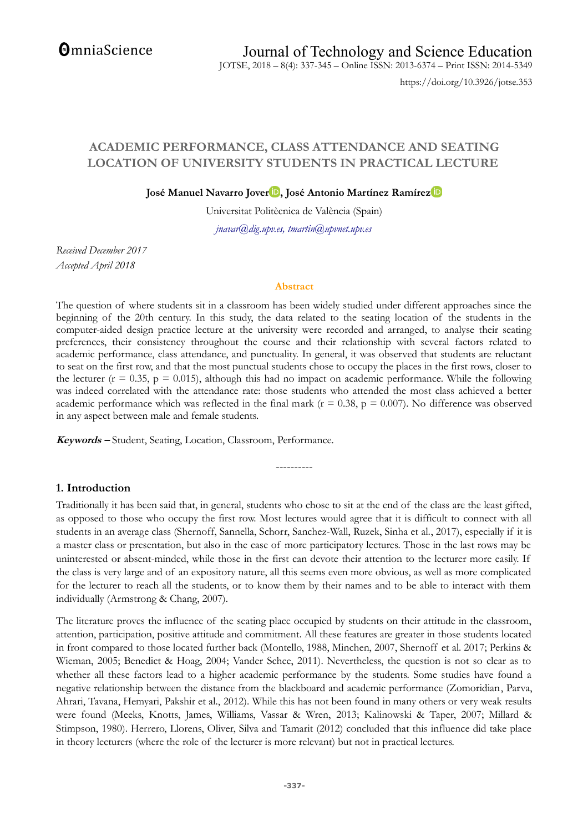JOTSE, 2018 – 8(4): 337-345 – Online ISSN: 2013-6374 – Print ISSN: 2014-5349

https://doi.org/10.3926/jotse.353

# **ACADEMIC PERFORMANCE, CLASS ATTENDANCE AND SEATING LOCATION OF UNIVERSITY STUDENTS IN PRACTICAL LECTURE**

**José Manuel Navarro Jover [,](https://orcid.org/0000-0001-5614-0246) José Antonio Martínez Ramíre[z](https://orcid.org/0000-0003-4821-3446)**

Universitat Politècnica de València (Spain)

*[jnavar@dig.upv.es,](mailto:jnavar@dig.upv.es) [tmartin@upvnet.upv.es](mailto:tmartin@upvnet.upv.es)*

*Received December 2017 Accepted April 2018*

#### **Abstract**

The question of where students sit in a classroom has been widely studied under different approaches since the beginning of the 20th century. In this study, the data related to the seating location of the students in the computer-aided design practice lecture at the university were recorded and arranged, to analyse their seating preferences, their consistency throughout the course and their relationship with several factors related to academic performance, class attendance, and punctuality. In general, it was observed that students are reluctant to seat on the first row, and that the most punctual students chose to occupy the places in the first rows, closer to the lecturer ( $r = 0.35$ ,  $p = 0.015$ ), although this had no impact on academic performance. While the following was indeed correlated with the attendance rate: those students who attended the most class achieved a better academic performance which was reflected in the final mark ( $r = 0.38$ ,  $p = 0.007$ ). No difference was observed in any aspect between male and female students.

**Keywords –** Student, Seating, Location, Classroom, Performance.

#### **1. Introduction**

Traditionally it has been said that, in general, students who chose to sit at the end of the class are the least gifted, as opposed to those who occupy the first row. Most lectures would agree that it is difficult to connect with all students in an average class (Shernoff, Sannella, Schorr, Sanchez-Wall, Ruzek, Sinha et al., 2017), especially if it is a master class or presentation, but also in the case of more participatory lectures. Those in the last rows may be uninterested or absent-minded, while those in the first can devote their attention to the lecturer more easily. If the class is very large and of an expository nature, all this seems even more obvious, as well as more complicated for the lecturer to reach all the students, or to know them by their names and to be able to interact with them individually (Armstrong & Chang, 2007).

----------

The literature proves the influence of the seating place occupied by students on their attitude in the classroom, attention, participation, positive attitude and commitment. All these features are greater in those students located in front compared to those located further back (Montello, 1988, Minchen, 2007, Shernoff et al. 2017; Perkins & Wieman, 2005; Benedict & Hoag, 2004; Vander Schee, 2011). Nevertheless, the question is not so clear as to whether all these factors lead to a higher academic performance by the students. Some studies have found a negative relationship between the distance from the blackboard and academic performance (Zomoridian, Parva, Ahrari, Tavana, Hemyari, Pakshir et al., 2012). While this has not been found in many others or very weak results were found (Meeks, Knotts, James, Williams, Vassar & Wren, 2013; Kalinowski & Taper, 2007; Millard & Stimpson, 1980). Herrero, Llorens, Oliver, Silva and Tamarit (2012) concluded that this influence did take place in theory lecturers (where the role of the lecturer is more relevant) but not in practical lectures.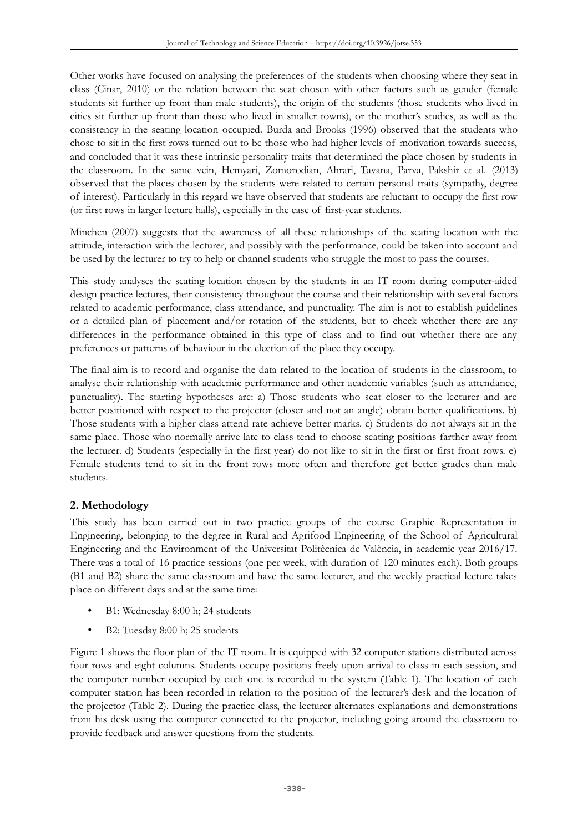Other works have focused on analysing the preferences of the students when choosing where they seat in class (Cinar, 2010) or the relation between the seat chosen with other factors such as gender (female students sit further up front than male students), the origin of the students (those students who lived in cities sit further up front than those who lived in smaller towns), or the mother's studies, as well as the consistency in the seating location occupied. Burda and Brooks (1996) observed that the students who chose to sit in the first rows turned out to be those who had higher levels of motivation towards success, and concluded that it was these intrinsic personality traits that determined the place chosen by students in the classroom. In the same vein, Hemyari, Zomorodian, Ahrari, Tavana, Parva, Pakshir et al. (2013) observed that the places chosen by the students were related to certain personal traits (sympathy, degree of interest). Particularly in this regard we have observed that students are reluctant to occupy the first row (or first rows in larger lecture halls), especially in the case of first-year students.

Minchen (2007) suggests that the awareness of all these relationships of the seating location with the attitude, interaction with the lecturer, and possibly with the performance, could be taken into account and be used by the lecturer to try to help or channel students who struggle the most to pass the courses.

This study analyses the seating location chosen by the students in an IT room during computer-aided design practice lectures, their consistency throughout the course and their relationship with several factors related to academic performance, class attendance, and punctuality. The aim is not to establish guidelines or a detailed plan of placement and/or rotation of the students, but to check whether there are any differences in the performance obtained in this type of class and to find out whether there are any preferences or patterns of behaviour in the election of the place they occupy.

The final aim is to record and organise the data related to the location of students in the classroom, to analyse their relationship with academic performance and other academic variables (such as attendance, punctuality). The starting hypotheses are: a) Those students who seat closer to the lecturer and are better positioned with respect to the projector (closer and not an angle) obtain better qualifications. b) Those students with a higher class attend rate achieve better marks. c) Students do not always sit in the same place. Those who normally arrive late to class tend to choose seating positions farther away from the lecturer. d) Students (especially in the first year) do not like to sit in the first or first front rows. e) Female students tend to sit in the front rows more often and therefore get better grades than male students.

## **2. Methodology**

This study has been carried out in two practice groups of the course Graphic Representation in Engineering, belonging to the degree in Rural and Agrifood Engineering of the School of Agricultural Engineering and the Environment of the Universitat Politècnica de València, in academic year 2016/17. There was a total of 16 practice sessions (one per week, with duration of 120 minutes each). Both groups (B1 and B2) share the same classroom and have the same lecturer, and the weekly practical lecture takes place on different days and at the same time:

- B1: Wednesday 8:00 h; 24 students
- B2: Tuesday 8:00 h; 25 students

Figure 1 shows the floor plan of the IT room. It is equipped with 32 computer stations distributed across four rows and eight columns. Students occupy positions freely upon arrival to class in each session, and the computer number occupied by each one is recorded in the system (Table 1). The location of each computer station has been recorded in relation to the position of the lecturer's desk and the location of the projector (Table 2). During the practice class, the lecturer alternates explanations and demonstrations from his desk using the computer connected to the projector, including going around the classroom to provide feedback and answer questions from the students.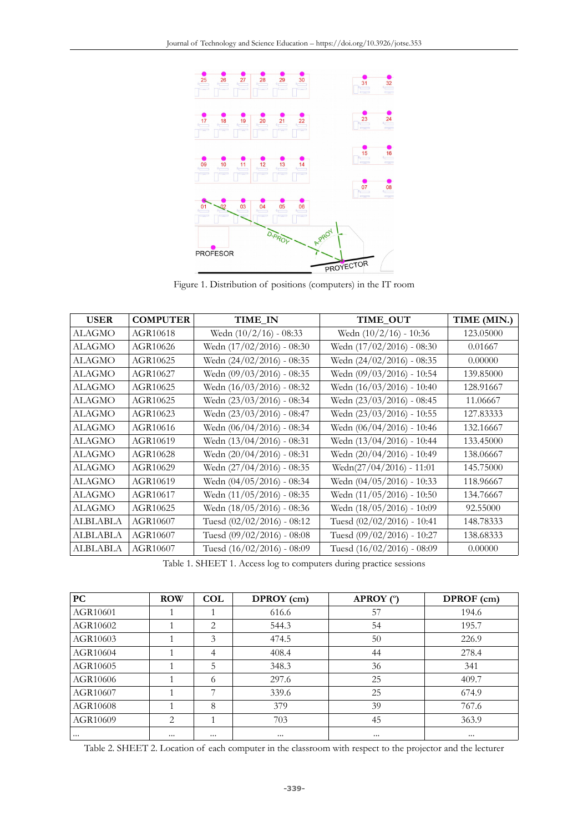

Figure 1. Distribution of positions (computers) in the IT room

| <b>USER</b>     | <b>COMPUTER</b>      | TIME IN                    | TIME_OUT                   | TIME (MIN.) |
|-----------------|----------------------|----------------------------|----------------------------|-------------|
| <b>ALAGMO</b>   | AGR <sub>10618</sub> | Wedn (10/2/16) - 08:33     | Wedn (10/2/16) - 10:36     | 123.05000   |
| <b>ALAGMO</b>   | AGR10626             | Wedn (17/02/2016) - 08:30  | Wedn (17/02/2016) - 08:30  | 0.01667     |
| <b>ALAGMO</b>   | AGR10625             | Wedn (24/02/2016) - 08:35  | Wedn (24/02/2016) - 08:35  | 0.00000     |
| <b>ALAGMO</b>   | AGR10627             | Wedn (09/03/2016) - 08:35  | Wedn (09/03/2016) - 10:54  | 139.85000   |
| <b>ALAGMO</b>   | AGR <sub>10625</sub> | Wedn (16/03/2016) - 08:32  | Wedn (16/03/2016) - 10:40  | 128.91667   |
| <b>ALAGMO</b>   | AGR10625             | Wedn (23/03/2016) - 08:34  | Wedn (23/03/2016) - 08:45  | 11.06667    |
| <b>ALAGMO</b>   | AGR10623             | Wedn (23/03/2016) - 08:47  | Wedn (23/03/2016) - 10:55  | 127.83333   |
| ALAGMO          | AGR <sub>10616</sub> | Wedn (06/04/2016) - 08:34  | Wedn (06/04/2016) - 10:46  | 132.16667   |
| <b>ALAGMO</b>   | AGR <sub>10619</sub> | Wedn (13/04/2016) - 08:31  | Wedn (13/04/2016) - 10:44  | 133.45000   |
| <b>ALAGMO</b>   | AGR <sub>10628</sub> | Wedn (20/04/2016) - 08:31  | Wedn (20/04/2016) - 10:49  | 138.06667   |
| ALAGMO          | AGR10629             | Wedn (27/04/2016) - 08:35  | Wedn(27/04/2016) - 11:01   | 145.75000   |
| ALAGMO          | AGR <sub>10619</sub> | Wedn (04/05/2016) - 08:34  | Wedn (04/05/2016) - 10:33  | 118.96667   |
| <b>ALAGMO</b>   | AGR10617             | Wedn (11/05/2016) - 08:35  | Wedn (11/05/2016) - 10:50  | 134.76667   |
| <b>ALAGMO</b>   | AGR10625             | Wedn (18/05/2016) - 08:36  | Wedn (18/05/2016) - 10:09  | 92.55000    |
| ALBLABLA        | AGR10607             | Tuesd (02/02/2016) - 08:12 | Tuesd (02/02/2016) - 10:41 | 148.78333   |
| ALBLABLA        | AGR10607             | Tuesd (09/02/2016) - 08:08 | Tuesd (09/02/2016) - 10:27 | 138.68333   |
| <b>ALBLABLA</b> | AGR <sub>10607</sub> | Tuesd (16/02/2016) - 08:09 | Tuesd (16/02/2016) - 08:09 | 0.00000     |

Table 1. SHEET 1. Access log to computers during practice sessions

| <b>PC</b> | <b>ROW</b>    | <b>COL</b> | DPROY (cm) | APROY $(^\circ)$ | DPROF (cm) |
|-----------|---------------|------------|------------|------------------|------------|
| AGR10601  |               |            | 616.6      | 57               | 194.6      |
| AGR10602  |               | 2          | 544.3      | 54               | 195.7      |
| AGR10603  |               | 3          | 474.5      | 50               | 226.9      |
| AGR10604  |               | 4          | 408.4      | 44               | 278.4      |
| AGR10605  |               | 5          | 348.3      | 36               | 341        |
| AGR10606  |               | 6          | 297.6      | 25               | 409.7      |
| AGR10607  |               |            | 339.6      | 25               | 674.9      |
| AGR10608  |               | 8          | 379        | 39               | 767.6      |
| AGR10609  | $\mathcal{D}$ |            | 703        | 45               | 363.9      |
| $\cdots$  | $\cdots$      | $\cdots$   | $\cdots$   |                  | $\cdots$   |

Table 2. SHEET 2. Location of each computer in the classroom with respect to the projector and the lecturer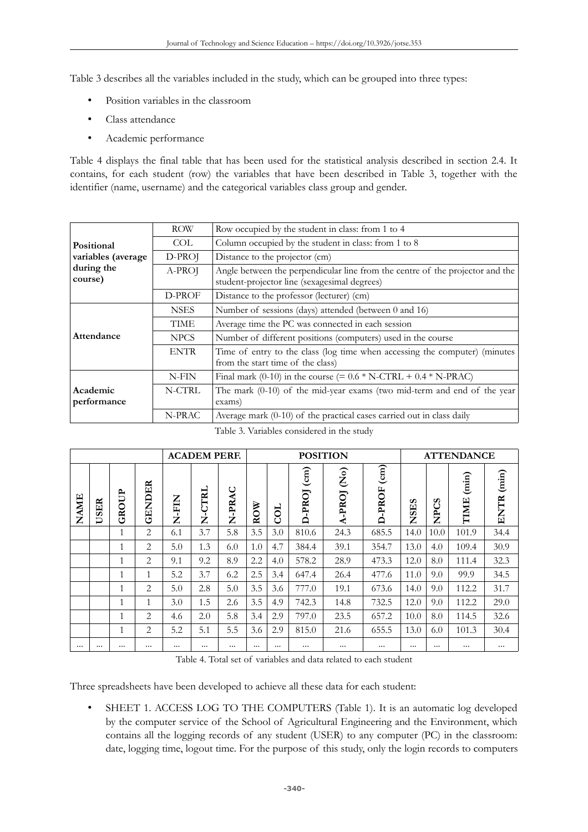Table 3 describes all the variables included in the study, which can be grouped into three types:

- Position variables in the classroom
- Class attendance
- Academic performance

Table 4 displays the final table that has been used for the statistical analysis described in section 2.4. It contains, for each student (row) the variables that have been described in Table 3, together with the identifier (name, username) and the categorical variables class group and gender.

|                       | <b>ROW</b>  | Row occupied by the student in class: from 1 to 4                                                                             |  |  |  |  |  |  |
|-----------------------|-------------|-------------------------------------------------------------------------------------------------------------------------------|--|--|--|--|--|--|
| Positional            | COL.        | Column occupied by the student in class: from 1 to 8                                                                          |  |  |  |  |  |  |
| variables (average    | D-PROJ      | Distance to the projector (cm)                                                                                                |  |  |  |  |  |  |
| during the<br>course) | A-PROI      | Angle between the perpendicular line from the centre of the projector and the<br>student-projector line (sexagesimal degrees) |  |  |  |  |  |  |
|                       | D-PROF      | Distance to the professor (lecturer) (cm)                                                                                     |  |  |  |  |  |  |
|                       | <b>NSES</b> | Number of sessions (days) attended (between 0 and 16)                                                                         |  |  |  |  |  |  |
|                       | TIME        | Average time the PC was connected in each session                                                                             |  |  |  |  |  |  |
| Attendance            | <b>NPCS</b> | Number of different positions (computers) used in the course                                                                  |  |  |  |  |  |  |
|                       | <b>ENTR</b> | Time of entry to the class (log time when accessing the computer) (minutes<br>from the start time of the class)               |  |  |  |  |  |  |
|                       | N-FIN       | Final mark (0-10) in the course $(= 0.6 * N-CTRL + 0.4 * N-PRAC)$                                                             |  |  |  |  |  |  |
| Academic              | N-CTRL      | The mark $(0-10)$ of the mid-year exams (two mid-term and end of the year                                                     |  |  |  |  |  |  |
| performance           |             | exams)                                                                                                                        |  |  |  |  |  |  |
|                       | N-PRAC      | Average mark (0-10) of the practical cases carried out in class daily                                                         |  |  |  |  |  |  |

|  | Table 3. Variables considered in the study |  |  |
|--|--------------------------------------------|--|--|
|  |                                            |  |  |

|             |                 |              |                |             | <b>ACADEM PERF.</b> |            |               |          |                             | <b>POSITION</b>         |                               | <b>ATTENDANCE</b> |             |                       |                |
|-------------|-----------------|--------------|----------------|-------------|---------------------|------------|---------------|----------|-----------------------------|-------------------------|-------------------------------|-------------------|-------------|-----------------------|----------------|
| <b>NAME</b> | <b>SER</b><br>コ | GROUP        | GENDER         | <b>ZH-H</b> | N-CTRL              | -PRAC<br>Ż | $\infty$<br>ø | đ<br>Ō   | $\binom{m}{k}$<br>PROJ<br>≏ | $\widetilde{S}$<br>PROJ | $\binom{cm}{c}$<br>-PROF<br>Ä | ဖာ<br>NSE.        | ഗ<br>ပ<br>È | (imin)<br><b>TIME</b> | (imin)<br>ENTR |
|             |                 | 1            | $\overline{2}$ | 6.1         | 3.7                 | 5.8        | 3.5           | 3.0      | 810.6                       | 24.3                    | 685.5                         | 14.0              | 10.0        | 101.9                 | 34.4           |
|             |                 | 1            | 2              | 5.0         | 1.3                 | 6.0        | 1.0           | 4.7      | 384.4                       | 39.1                    | 354.7                         | 13.0              | 4.0         | 109.4                 | 30.9           |
|             |                 | 1            | $\overline{2}$ | 9.1         | 9.2                 | 8.9        | 2.2           | 4.0      | 578.2                       | 28.9                    | 473.3                         | 12.0              | 8.0         | 111.4                 | 32.3           |
|             |                 |              | 1              | 5.2         | 3.7                 | 6.2        | 2.5           | 3.4      | 647.4                       | 26.4                    | 477.6                         | 11.0              | 9.0         | 99.9                  | 34.5           |
|             |                 | 1            | 2              | 5.0         | 2.8                 | 5.0        | 3.5           | 3.6      | 777.0                       | 19.1                    | 673.6                         | 14.0              | 9.0         | 112.2                 | 31.7           |
|             |                 | 1            | -1             | 3.0         | 1.5                 | 2.6        | 3.5           | 4.9      | 742.3                       | 14.8                    | 732.5                         | 12.0              | 9.0         | 112.2                 | 29.0           |
|             |                 | $\mathbf{1}$ | 2              | 4.6         | 2.0                 | 5.8        | 3.4           | 2.9      | 797.0                       | 23.5                    | 657.2                         | 10.0              | 8.0         | 114.5                 | 32.6           |
|             |                 | 1            | 2              | 5.2         | 5.1                 | 5.5        | 3.6           | 2.9      | 815.0                       | 21.6                    | 655.5                         | 13.0              | 6.0         | 101.3                 | 30.4           |
| $\cdots$    |                 |              |                |             |                     |            | $\cdots$      | $\cdots$ |                             |                         |                               |                   |             |                       |                |

Table 4. Total set of variables and data related to each student

Three spreadsheets have been developed to achieve all these data for each student:

• SHEET 1. ACCESS LOG TO THE COMPUTERS (Table 1). It is an automatic log developed by the computer service of the School of Agricultural Engineering and the Environment, which contains all the logging records of any student (USER) to any computer (PC) in the classroom: date, logging time, logout time. For the purpose of this study, only the login records to computers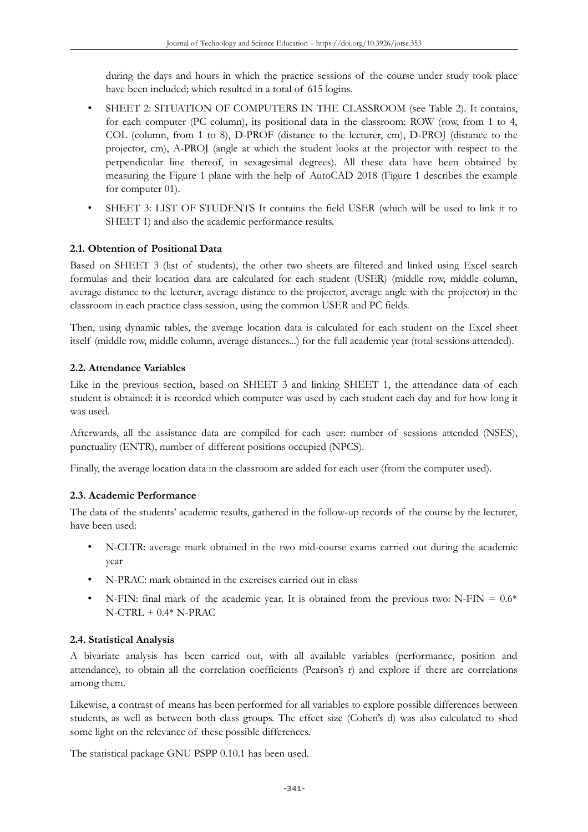during the days and hours in which the practice sessions of the course under study took place have been included; which resulted in a total of 615 logins.

- SHEET 2: SITUATION OF COMPUTERS IN THE CLASSROOM (see Table 2). It contains, for each computer (PC column), its positional data in the classroom: ROW (row, from 1 to 4, COL (column, from 1 to 8), D-PROF (distance to the lecturer, cm), D-PROJ (distance to the projector, cm), A-PROJ (angle at which the student looks at the projector with respect to the perpendicular line thereof, in sexagesimal degrees). All these data have been obtained by measuring the Figure 1 plane with the help of AutoCAD 2018 (Figure 1 describes the example for computer 01).
- SHEET 3: LIST OF STUDENTS It contains the field USER (which will be used to link it to SHEET 1) and also the academic performance results.

### **2.1. Obtention of Positional Data**

Based on SHEET 3 (list of students), the other two sheets are filtered and linked using Excel search formulas and their location data are calculated for each student (USER) (middle row, middle column, average distance to the lecturer, average distance to the projector, average angle with the projector) in the classroom in each practice class session, using the common USER and PC fields.

Then, using dynamic tables, the average location data is calculated for each student on the Excel sheet itself (middle row, middle column, average distances...) for the full academic year (total sessions attended).

#### **2.2. Attendance Variables**

Like in the previous section, based on SHEET 3 and linking SHEET 1, the attendance data of each student is obtained: it is recorded which computer was used by each student each day and for how long it was used.

Afterwards, all the assistance data are compiled for each user: number of sessions attended (NSES), punctuality (ENTR), number of different positions occupied (NPCS).

Finally, the average location data in the classroom are added for each user (from the computer used).

#### **2.3. Academic Performance**

The data of the students' academic results, gathered in the follow-up records of the course by the lecturer, have been used:

- N-CLTR: average mark obtained in the two mid-course exams carried out during the academic year
- N-PRAC: mark obtained in the exercises carried out in class
- N-FIN: final mark of the academic year. It is obtained from the previous two: N-FIN  $= 0.6*$  $N-CTRL + 0.4* N-PRAC$

## **2.4. Statistical Analysis**

A bivariate analysis has been carried out, with all available variables (performance, position and attendance), to obtain all the correlation coefficients (Pearson's r) and explore if there are correlations among them.

Likewise, a contrast of means has been performed for all variables to explore possible differences between students, as well as between both class groups. The effect size (Cohen's d) was also calculated to shed some light on the relevance of these possible differences.

The statistical package GNU PSPP 0.10.1 has been used.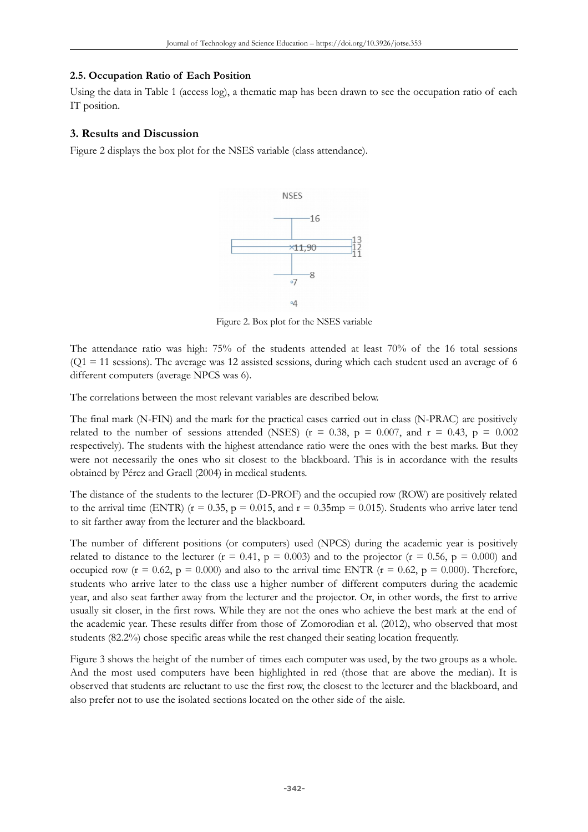#### **2.5. Occupation Ratio of Each Position**

Using the data in Table 1 (access log), a thematic map has been drawn to see the occupation ratio of each IT position.

### **3. Results and Discussion**

Figure 2 displays the box plot for the NSES variable (class attendance).



Figure 2. Box plot for the NSES variable

The attendance ratio was high: 75% of the students attended at least 70% of the 16 total sessions  $(Q1 = 11$  sessions). The average was 12 assisted sessions, during which each student used an average of 6 different computers (average NPCS was 6).

The correlations between the most relevant variables are described below.

The final mark (N-FIN) and the mark for the practical cases carried out in class (N-PRAC) are positively related to the number of sessions attended (NSES) ( $r = 0.38$ ,  $p = 0.007$ , and  $r = 0.43$ ,  $p = 0.002$ respectively). The students with the highest attendance ratio were the ones with the best marks. But they were not necessarily the ones who sit closest to the blackboard. This is in accordance with the results obtained by Pérez and Graell (2004) in medical students.

The distance of the students to the lecturer (D-PROF) and the occupied row (ROW) are positively related to the arrival time (ENTR) ( $r = 0.35$ ,  $p = 0.015$ , and  $r = 0.35$ mp = 0.015). Students who arrive later tend to sit farther away from the lecturer and the blackboard.

The number of different positions (or computers) used (NPCS) during the academic year is positively related to distance to the lecturer ( $r = 0.41$ ,  $p = 0.003$ ) and to the projector ( $r = 0.56$ ,  $p = 0.000$ ) and occupied row ( $r = 0.62$ ,  $p = 0.000$ ) and also to the arrival time ENTR ( $r = 0.62$ ,  $p = 0.000$ ). Therefore, students who arrive later to the class use a higher number of different computers during the academic year, and also seat farther away from the lecturer and the projector. Or, in other words, the first to arrive usually sit closer, in the first rows. While they are not the ones who achieve the best mark at the end of the academic year. These results differ from those of Zomorodian et al. (2012), who observed that most students (82.2%) chose specific areas while the rest changed their seating location frequently.

Figure 3 shows the height of the number of times each computer was used, by the two groups as a whole. And the most used computers have been highlighted in red (those that are above the median). It is observed that students are reluctant to use the first row, the closest to the lecturer and the blackboard, and also prefer not to use the isolated sections located on the other side of the aisle.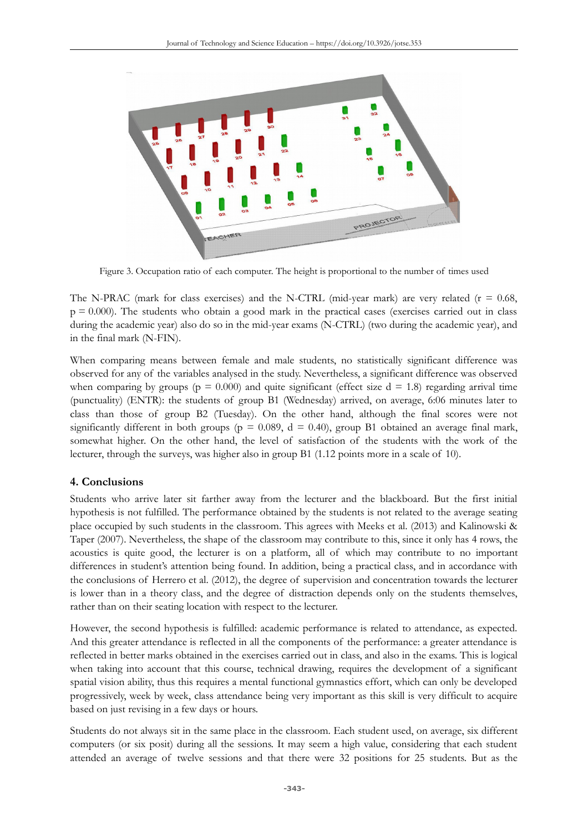

Figure 3. Occupation ratio of each computer. The height is proportional to the number of times used

The N-PRAC (mark for class exercises) and the N-CTRL (mid-year mark) are very related ( $r = 0.68$ ,  $p = 0.000$ ). The students who obtain a good mark in the practical cases (exercises carried out in class during the academic year) also do so in the mid-year exams (N-CTRL) (two during the academic year), and in the final mark (N-FIN).

When comparing means between female and male students, no statistically significant difference was observed for any of the variables analysed in the study. Nevertheless, a significant difference was observed when comparing by groups ( $p = 0.000$ ) and quite significant (effect size  $d = 1.8$ ) regarding arrival time (punctuality) (ENTR): the students of group B1 (Wednesday) arrived, on average, 6:06 minutes later to class than those of group B2 (Tuesday). On the other hand, although the final scores were not significantly different in both groups ( $p = 0.089$ ,  $d = 0.40$ ), group B1 obtained an average final mark, somewhat higher. On the other hand, the level of satisfaction of the students with the work of the lecturer, through the surveys, was higher also in group B1 (1.12 points more in a scale of 10).

#### **4. Conclusions**

Students who arrive later sit farther away from the lecturer and the blackboard. But the first initial hypothesis is not fulfilled. The performance obtained by the students is not related to the average seating place occupied by such students in the classroom. This agrees with Meeks et al. (2013) and Kalinowski & Taper (2007). Nevertheless, the shape of the classroom may contribute to this, since it only has 4 rows, the acoustics is quite good, the lecturer is on a platform, all of which may contribute to no important differences in student's attention being found. In addition, being a practical class, and in accordance with the conclusions of Herrero et al. (2012), the degree of supervision and concentration towards the lecturer is lower than in a theory class, and the degree of distraction depends only on the students themselves, rather than on their seating location with respect to the lecturer.

However, the second hypothesis is fulfilled: academic performance is related to attendance, as expected. And this greater attendance is reflected in all the components of the performance: a greater attendance is reflected in better marks obtained in the exercises carried out in class, and also in the exams. This is logical when taking into account that this course, technical drawing, requires the development of a significant spatial vision ability, thus this requires a mental functional gymnastics effort, which can only be developed progressively, week by week, class attendance being very important as this skill is very difficult to acquire based on just revising in a few days or hours.

Students do not always sit in the same place in the classroom. Each student used, on average, six different computers (or six posit) during all the sessions. It may seem a high value, considering that each student attended an average of twelve sessions and that there were 32 positions for 25 students. But as the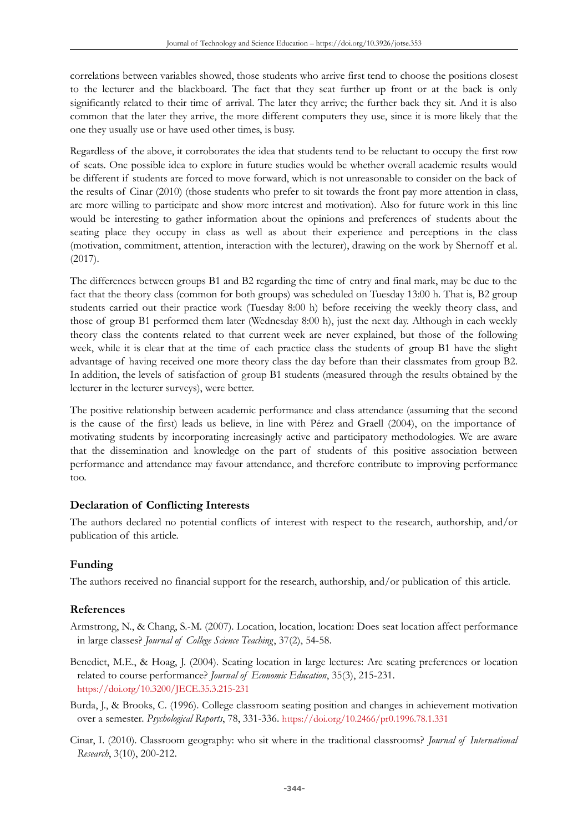correlations between variables showed, those students who arrive first tend to choose the positions closest to the lecturer and the blackboard. The fact that they seat further up front or at the back is only significantly related to their time of arrival. The later they arrive; the further back they sit. And it is also common that the later they arrive, the more different computers they use, since it is more likely that the one they usually use or have used other times, is busy.

Regardless of the above, it corroborates the idea that students tend to be reluctant to occupy the first row of seats. One possible idea to explore in future studies would be whether overall academic results would be different if students are forced to move forward, which is not unreasonable to consider on the back of the results of Cinar (2010) (those students who prefer to sit towards the front pay more attention in class, are more willing to participate and show more interest and motivation). Also for future work in this line would be interesting to gather information about the opinions and preferences of students about the seating place they occupy in class as well as about their experience and perceptions in the class (motivation, commitment, attention, interaction with the lecturer), drawing on the work by Shernoff et al. (2017).

The differences between groups B1 and B2 regarding the time of entry and final mark, may be due to the fact that the theory class (common for both groups) was scheduled on Tuesday 13:00 h. That is, B2 group students carried out their practice work (Tuesday 8:00 h) before receiving the weekly theory class, and those of group B1 performed them later (Wednesday 8:00 h), just the next day. Although in each weekly theory class the contents related to that current week are never explained, but those of the following week, while it is clear that at the time of each practice class the students of group B1 have the slight advantage of having received one more theory class the day before than their classmates from group B2. In addition, the levels of satisfaction of group B1 students (measured through the results obtained by the lecturer in the lecturer surveys), were better.

The positive relationship between academic performance and class attendance (assuming that the second is the cause of the first) leads us believe, in line with Pérez and Graell (2004), on the importance of motivating students by incorporating increasingly active and participatory methodologies. We are aware that the dissemination and knowledge on the part of students of this positive association between performance and attendance may favour attendance, and therefore contribute to improving performance too.

## **Declaration of Conflicting Interests**

The authors declared no potential conflicts of interest with respect to the research, authorship, and/or publication of this article.

## **Funding**

The authors received no financial support for the research, authorship, and/or publication of this article.

## **References**

- Armstrong, N., & Chang, S.-M. (2007). Location, location, location: Does seat location affect performance in large classes? *Journal of College Science Teaching*, 37(2), 54-58.
- Benedict, M.E., & Hoag, J. (2004). Seating location in large lectures: Are seating preferences or location related to course performance? *Journal of Economic Education*, 35(3), 215-231. <https://doi.org/10.3200/JECE.35.3.215-231>
- Burda, J., & Brooks, C. (1996). College classroom seating position and changes in achievement motivation over a semester. *Psychological Reports*, 78, 331-336. <https://doi.org/10.2466/pr0.1996.78.1.331>
- Cinar, I. (2010). Classroom geography: who sit where in the traditional classrooms? *Journal of International Research*, 3(10), 200-212.